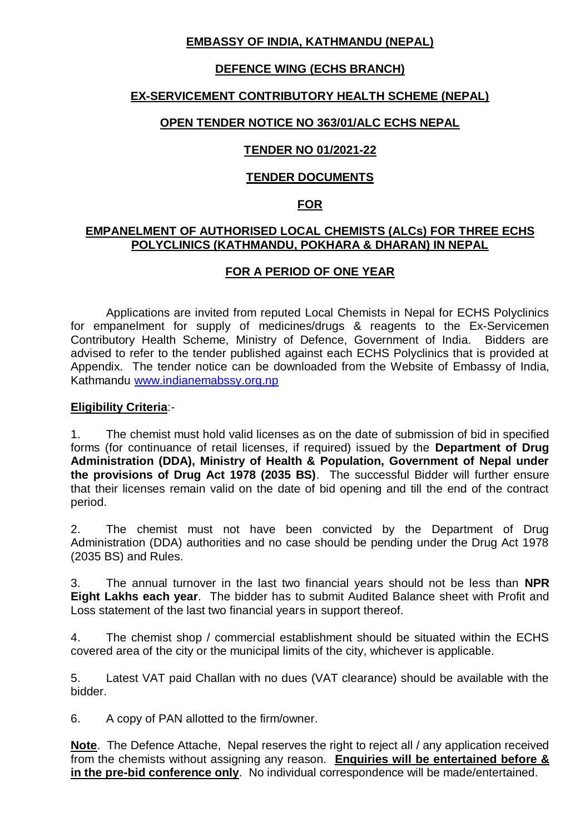# **EMBASSY OF INDIA, KATHMANDU (NEPAL)**

# **DEFENCE WING (ECHS BRANCH)**

## **EX-SERVICEMENT CONTRIBUTORY HEALTH SCHEME (NEPAL)**

### **OPEN TENDER NOTICE NO 363/01/ALC ECHS NEPAL**

## **TENDER NO 01/2021-22**

## **TENDER DOCUMENTS**

### **FOR**

#### **EMPANELMENT OF AUTHORISED LOCAL CHEMISTS (ALCs) FOR THREE ECHS POLYCLINICS (KATHMANDU, POKHARA & DHARAN) IN NEPAL**

## **FOR A PERIOD OF ONE YEAR**

Applications are invited from reputed Local Chemists in Nepal for ECHS Polyclinics for empanelment for supply of medicines/drugs & reagents to the Ex-Servicemen Contributory Health Scheme, Ministry of Defence, Government of India. Bidders are advised to refer to the tender published against each ECHS Polyclinics that is provided at Appendix. The tender notice can be downloaded from the Website of Embassy of India, Kathmandu [www.indianemabssy.org.np](http://www.indianemabssy.org.np/)

#### **Eligibility Criteria**:-

1. The chemist must hold valid licenses as on the date of submission of bid in specified forms (for continuance of retail licenses, if required) issued by the **Department of Drug Administration (DDA), Ministry of Health & Population, Government of Nepal under the provisions of Drug Act 1978 (2035 BS)**. The successful Bidder will further ensure that their licenses remain valid on the date of bid opening and till the end of the contract period.

2. The chemist must not have been convicted by the Department of Drug Administration (DDA) authorities and no case should be pending under the Drug Act 1978 (2035 BS) and Rules.

3. The annual turnover in the last two financial years should not be less than **NPR Eight Lakhs each year**. The bidder has to submit Audited Balance sheet with Profit and Loss statement of the last two financial years in support thereof.

4. The chemist shop / commercial establishment should be situated within the ECHS covered area of the city or the municipal limits of the city, whichever is applicable.

5. Latest VAT paid Challan with no dues (VAT clearance) should be available with the bidder.

6. A copy of PAN allotted to the firm/owner.

**Note**. The Defence Attache, Nepal reserves the right to reject all / any application received from the chemists without assigning any reason. **Enquiries will be entertained before & in the pre-bid conference only**. No individual correspondence will be made/entertained.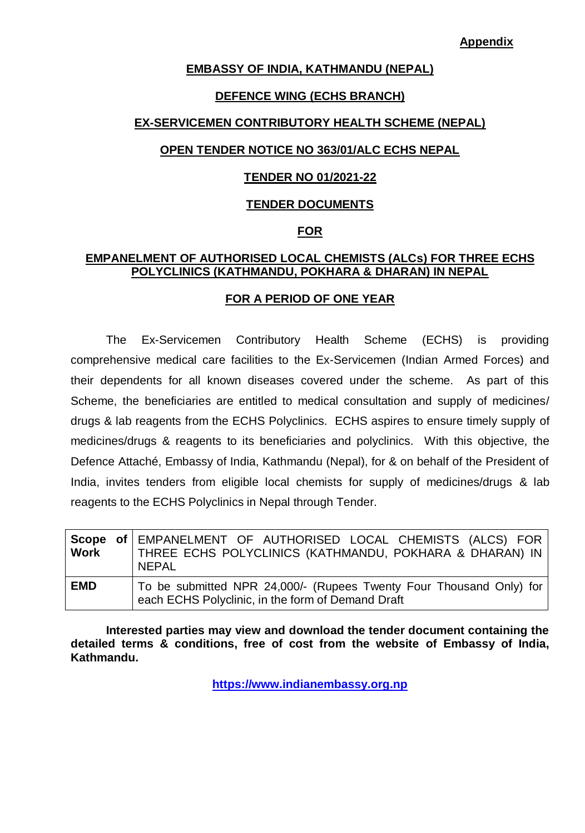**Appendix**

#### **EMBASSY OF INDIA, KATHMANDU (NEPAL)**

#### **DEFENCE WING (ECHS BRANCH)**

#### **EX-SERVICEMEN CONTRIBUTORY HEALTH SCHEME (NEPAL)**

#### **OPEN TENDER NOTICE NO 363/01/ALC ECHS NEPAL**

#### **TENDER NO 01/2021-22**

#### **TENDER DOCUMENTS**

#### **FOR**

## **EMPANELMENT OF AUTHORISED LOCAL CHEMISTS (ALCs) FOR THREE ECHS POLYCLINICS (KATHMANDU, POKHARA & DHARAN) IN NEPAL**

#### **FOR A PERIOD OF ONE YEAR**

The Ex-Servicemen Contributory Health Scheme (ECHS) is providing comprehensive medical care facilities to the Ex-Servicemen (Indian Armed Forces) and their dependents for all known diseases covered under the scheme. As part of this Scheme, the beneficiaries are entitled to medical consultation and supply of medicines/ drugs & lab reagents from the ECHS Polyclinics. ECHS aspires to ensure timely supply of medicines/drugs & reagents to its beneficiaries and polyclinics. With this objective, the Defence Attaché, Embassy of India, Kathmandu (Nepal), for & on behalf of the President of India, invites tenders from eligible local chemists for supply of medicines/drugs & lab reagents to the ECHS Polyclinics in Nepal through Tender.

| Work       | Scope of EMPANELMENT OF AUTHORISED LOCAL CHEMISTS (ALCS) FOR<br>THREE ECHS POLYCLINICS (KATHMANDU, POKHARA & DHARAN) IN<br><b>NEPAL</b> |
|------------|-----------------------------------------------------------------------------------------------------------------------------------------|
| <b>EMD</b> | To be submitted NPR 24,000/- (Rupees Twenty Four Thousand Only) for<br>each ECHS Polyclinic, in the form of Demand Draft                |

**Interested parties may view and download the tender document containing the detailed terms & conditions, free of cost from the website of Embassy of India, Kathmandu.** 

**[https://www.indianembassy.org.np](https://www.indianembassy.org.np/)**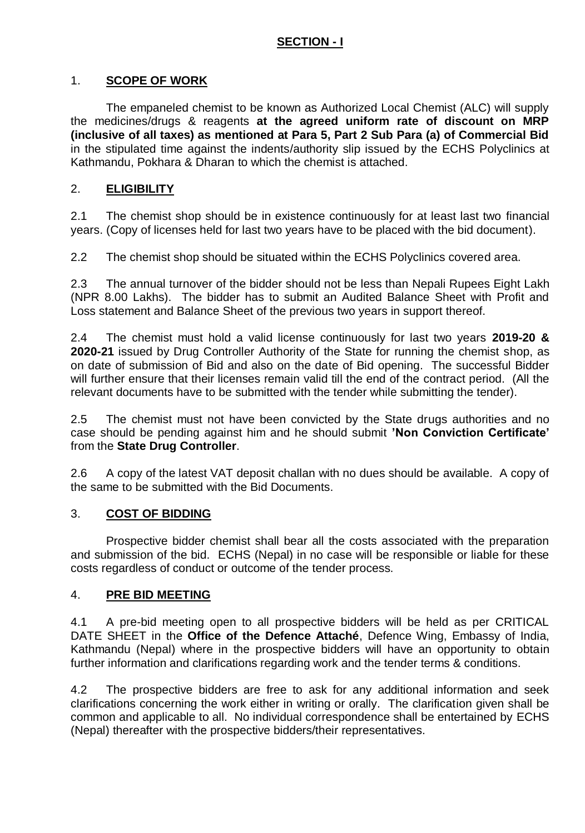# **SECTION - I**

## 1. **SCOPE OF WORK**

The empaneled chemist to be known as Authorized Local Chemist (ALC) will supply the medicines/drugs & reagents **at the agreed uniform rate of discount on MRP (inclusive of all taxes) as mentioned at Para 5, Part 2 Sub Para (a) of Commercial Bid** in the stipulated time against the indents/authority slip issued by the ECHS Polyclinics at Kathmandu, Pokhara & Dharan to which the chemist is attached.

## 2. **ELIGIBILITY**

2.1 The chemist shop should be in existence continuously for at least last two financial years. (Copy of licenses held for last two years have to be placed with the bid document).

2.2 The chemist shop should be situated within the ECHS Polyclinics covered area.

2.3 The annual turnover of the bidder should not be less than Nepali Rupees Eight Lakh (NPR 8.00 Lakhs). The bidder has to submit an Audited Balance Sheet with Profit and Loss statement and Balance Sheet of the previous two years in support thereof.

2.4 The chemist must hold a valid license continuously for last two years **2019-20 & 2020-21** issued by Drug Controller Authority of the State for running the chemist shop, as on date of submission of Bid and also on the date of Bid opening. The successful Bidder will further ensure that their licenses remain valid till the end of the contract period. (All the relevant documents have to be submitted with the tender while submitting the tender).

2.5 The chemist must not have been convicted by the State drugs authorities and no case should be pending against him and he should submit **'Non Conviction Certificate'** from the **State Drug Controller**.

2.6 A copy of the latest VAT deposit challan with no dues should be available. A copy of the same to be submitted with the Bid Documents.

#### 3. **COST OF BIDDING**

Prospective bidder chemist shall bear all the costs associated with the preparation and submission of the bid. ECHS (Nepal) in no case will be responsible or liable for these costs regardless of conduct or outcome of the tender process.

#### 4. **PRE BID MEETING**

4.1 A pre-bid meeting open to all prospective bidders will be held as per CRITICAL DATE SHEET in the **Office of the Defence Attaché**, Defence Wing, Embassy of India, Kathmandu (Nepal) where in the prospective bidders will have an opportunity to obtain further information and clarifications regarding work and the tender terms & conditions.

4.2 The prospective bidders are free to ask for any additional information and seek clarifications concerning the work either in writing or orally. The clarification given shall be common and applicable to all. No individual correspondence shall be entertained by ECHS (Nepal) thereafter with the prospective bidders/their representatives.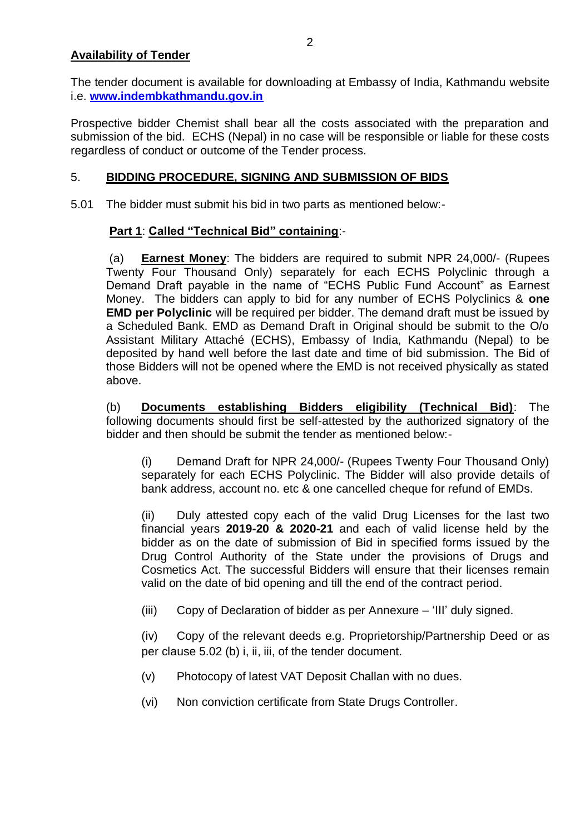## **Availability of Tender**

The tender document is available for downloading at Embassy of India, Kathmandu website i.e. **[www.indembkathmandu.gov.in](http://www.indembkathmandu.gov.in/)**

Prospective bidder Chemist shall bear all the costs associated with the preparation and submission of the bid. ECHS (Nepal) in no case will be responsible or liable for these costs regardless of conduct or outcome of the Tender process.

### 5. **BIDDING PROCEDURE, SIGNING AND SUBMISSION OF BIDS**

5.01 The bidder must submit his bid in two parts as mentioned below:-

## **Part 1**: **Called "Technical Bid" containing**:-

(a) **Earnest Money**: The bidders are required to submit NPR 24,000/- (Rupees Twenty Four Thousand Only) separately for each ECHS Polyclinic through a Demand Draft payable in the name of "ECHS Public Fund Account" as Earnest Money. The bidders can apply to bid for any number of ECHS Polyclinics & **one EMD per Polyclinic** will be required per bidder. The demand draft must be issued by a Scheduled Bank. EMD as Demand Draft in Original should be submit to the O/o Assistant Military Attaché (ECHS), Embassy of India, Kathmandu (Nepal) to be deposited by hand well before the last date and time of bid submission. The Bid of those Bidders will not be opened where the EMD is not received physically as stated above.

(b) **Documents establishing Bidders eligibility (Technical Bid)**: The following documents should first be self-attested by the authorized signatory of the bidder and then should be submit the tender as mentioned below:-

(i) Demand Draft for NPR 24,000/- (Rupees Twenty Four Thousand Only) separately for each ECHS Polyclinic. The Bidder will also provide details of bank address, account no. etc & one cancelled cheque for refund of EMDs.

(ii) Duly attested copy each of the valid Drug Licenses for the last two financial years **2019-20 & 2020-21** and each of valid license held by the bidder as on the date of submission of Bid in specified forms issued by the Drug Control Authority of the State under the provisions of Drugs and Cosmetics Act. The successful Bidders will ensure that their licenses remain valid on the date of bid opening and till the end of the contract period.

(iii) Copy of Declaration of bidder as per Annexure – 'III' duly signed.

(iv) Copy of the relevant deeds e.g. Proprietorship/Partnership Deed or as per clause 5.02 (b) i, ii, iii, of the tender document.

- (v) Photocopy of latest VAT Deposit Challan with no dues.
- (vi) Non conviction certificate from State Drugs Controller.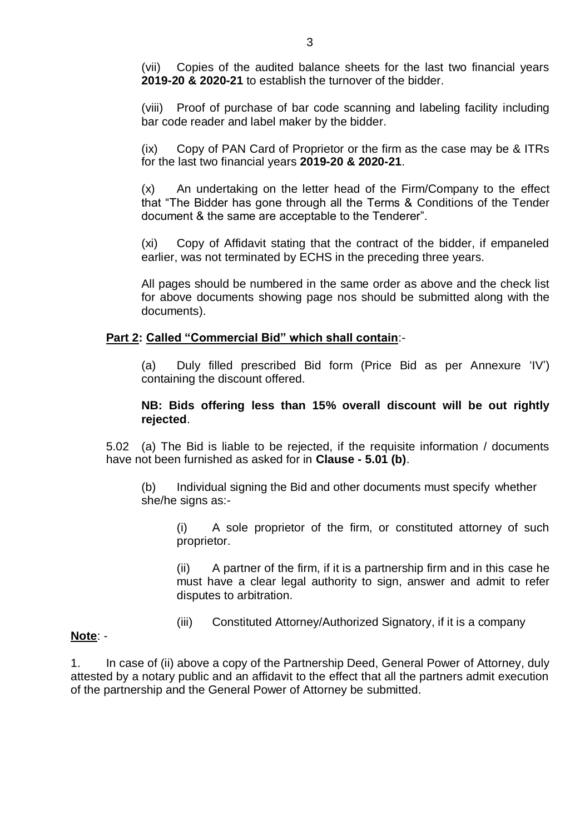(vii) Copies of the audited balance sheets for the last two financial years **2019-20 & 2020-21** to establish the turnover of the bidder.

(viii) Proof of purchase of bar code scanning and labeling facility including bar code reader and label maker by the bidder.

(ix) Copy of PAN Card of Proprietor or the firm as the case may be & ITRs for the last two financial years **2019-20 & 2020-21**.

(x) An undertaking on the letter head of the Firm/Company to the effect that "The Bidder has gone through all the Terms & Conditions of the Tender document & the same are acceptable to the Tenderer".

(xi) Copy of Affidavit stating that the contract of the bidder, if empaneled earlier, was not terminated by ECHS in the preceding three years.

All pages should be numbered in the same order as above and the check list for above documents showing page nos should be submitted along with the documents).

#### **Part 2: Called "Commercial Bid" which shall contain**:-

(a) Duly filled prescribed Bid form (Price Bid as per Annexure 'IV') containing the discount offered.

#### **NB: Bids offering less than 15% overall discount will be out rightly rejected**.

5.02 (a) The Bid is liable to be rejected, if the requisite information / documents have not been furnished as asked for in **Clause - 5.01 (b)**.

(b) Individual signing the Bid and other documents must specify whether she/he signs as:-

(i) A sole proprietor of the firm, or constituted attorney of such proprietor.

(ii) A partner of the firm, if it is a partnership firm and in this case he must have a clear legal authority to sign, answer and admit to refer disputes to arbitration.

(iii) Constituted Attorney/Authorized Signatory, if it is a company

#### **Note**: -

1. In case of (ii) above a copy of the Partnership Deed, General Power of Attorney, duly attested by a notary public and an affidavit to the effect that all the partners admit execution of the partnership and the General Power of Attorney be submitted.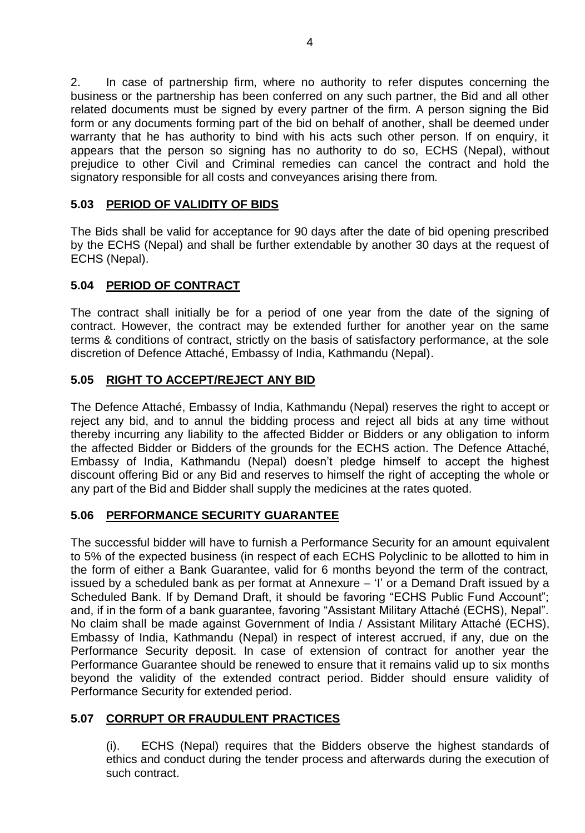2. In case of partnership firm, where no authority to refer disputes concerning the business or the partnership has been conferred on any such partner, the Bid and all other related documents must be signed by every partner of the firm. A person signing the Bid form or any documents forming part of the bid on behalf of another, shall be deemed under warranty that he has authority to bind with his acts such other person. If on enquiry, it appears that the person so signing has no authority to do so, ECHS (Nepal), without prejudice to other Civil and Criminal remedies can cancel the contract and hold the signatory responsible for all costs and conveyances arising there from.

# **5.03 PERIOD OF VALIDITY OF BIDS**

The Bids shall be valid for acceptance for 90 days after the date of bid opening prescribed by the ECHS (Nepal) and shall be further extendable by another 30 days at the request of ECHS (Nepal).

## **5.04 PERIOD OF CONTRACT**

The contract shall initially be for a period of one year from the date of the signing of contract. However, the contract may be extended further for another year on the same terms & conditions of contract, strictly on the basis of satisfactory performance, at the sole discretion of Defence Attaché, Embassy of India, Kathmandu (Nepal).

## **5.05 RIGHT TO ACCEPT/REJECT ANY BID**

The Defence Attaché, Embassy of India, Kathmandu (Nepal) reserves the right to accept or reject any bid, and to annul the bidding process and reject all bids at any time without thereby incurring any liability to the affected Bidder or Bidders or any obligation to inform the affected Bidder or Bidders of the grounds for the ECHS action. The Defence Attaché, Embassy of India, Kathmandu (Nepal) doesn't pledge himself to accept the highest discount offering Bid or any Bid and reserves to himself the right of accepting the whole or any part of the Bid and Bidder shall supply the medicines at the rates quoted.

# **5.06 PERFORMANCE SECURITY GUARANTEE**

The successful bidder will have to furnish a Performance Security for an amount equivalent to 5% of the expected business (in respect of each ECHS Polyclinic to be allotted to him in the form of either a Bank Guarantee, valid for 6 months beyond the term of the contract, issued by a scheduled bank as per format at Annexure – 'I' or a Demand Draft issued by a Scheduled Bank. If by Demand Draft, it should be favoring "ECHS Public Fund Account"; and, if in the form of a bank guarantee, favoring "Assistant Military Attaché (ECHS), Nepal". No claim shall be made against Government of India / Assistant Military Attaché (ECHS), Embassy of India, Kathmandu (Nepal) in respect of interest accrued, if any, due on the Performance Security deposit. In case of extension of contract for another year the Performance Guarantee should be renewed to ensure that it remains valid up to six months beyond the validity of the extended contract period. Bidder should ensure validity of Performance Security for extended period.

#### **5.07 CORRUPT OR FRAUDULENT PRACTICES**

(i). ECHS (Nepal) requires that the Bidders observe the highest standards of ethics and conduct during the tender process and afterwards during the execution of such contract.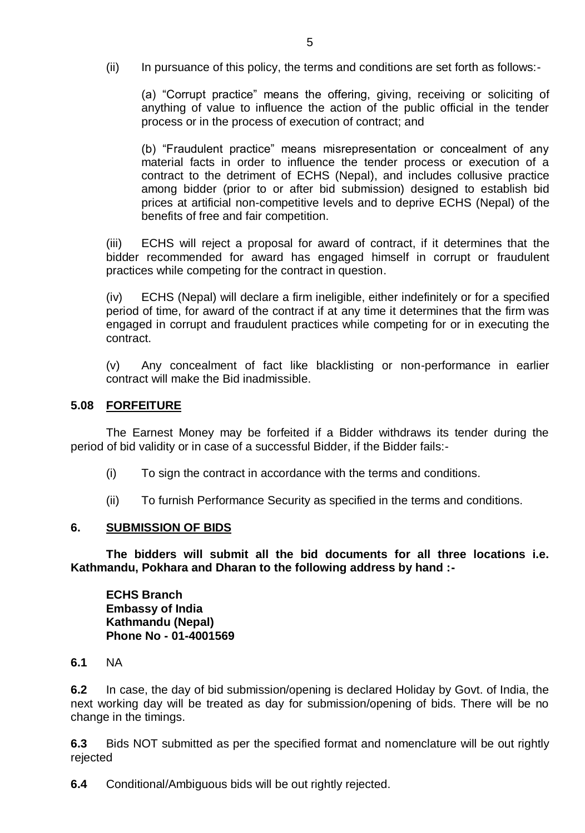(ii) In pursuance of this policy, the terms and conditions are set forth as follows:-

(a) "Corrupt practice" means the offering, giving, receiving or soliciting of anything of value to influence the action of the public official in the tender process or in the process of execution of contract; and

(b) "Fraudulent practice" means misrepresentation or concealment of any material facts in order to influence the tender process or execution of a contract to the detriment of ECHS (Nepal), and includes collusive practice among bidder (prior to or after bid submission) designed to establish bid prices at artificial non-competitive levels and to deprive ECHS (Nepal) of the benefits of free and fair competition.

(iii) ECHS will reject a proposal for award of contract, if it determines that the bidder recommended for award has engaged himself in corrupt or fraudulent practices while competing for the contract in question.

(iv) ECHS (Nepal) will declare a firm ineligible, either indefinitely or for a specified period of time, for award of the contract if at any time it determines that the firm was engaged in corrupt and fraudulent practices while competing for or in executing the contract.

(v) Any concealment of fact like blacklisting or non-performance in earlier contract will make the Bid inadmissible.

#### **5.08 FORFEITURE**

The Earnest Money may be forfeited if a Bidder withdraws its tender during the period of bid validity or in case of a successful Bidder, if the Bidder fails:-

- (i) To sign the contract in accordance with the terms and conditions.
- (ii) To furnish Performance Security as specified in the terms and conditions.

#### **6. SUBMISSION OF BIDS**

**The bidders will submit all the bid documents for all three locations i.e. Kathmandu, Pokhara and Dharan to the following address by hand :-**

**ECHS Branch Embassy of India Kathmandu (Nepal) Phone No - 01-4001569**

**6.1** NA

**6.2** In case, the day of bid submission/opening is declared Holiday by Govt. of India, the next working day will be treated as day for submission/opening of bids. There will be no change in the timings.

**6.3** Bids NOT submitted as per the specified format and nomenclature will be out rightly rejected

**6.4** Conditional/Ambiguous bids will be out rightly rejected.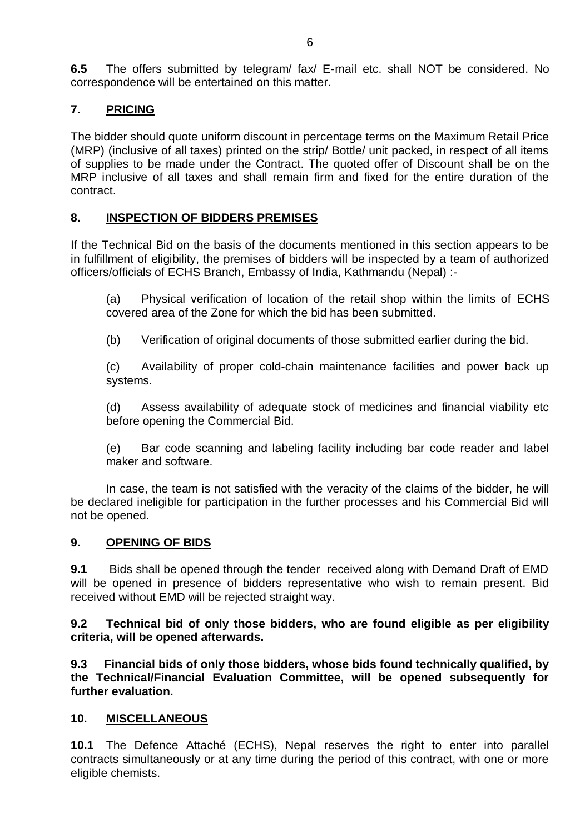**6.5** The offers submitted by telegram/ fax/ E-mail etc. shall NOT be considered. No correspondence will be entertained on this matter.

# **7**. **PRICING**

The bidder should quote uniform discount in percentage terms on the Maximum Retail Price (MRP) (inclusive of all taxes) printed on the strip/ Bottle/ unit packed, in respect of all items of supplies to be made under the Contract. The quoted offer of Discount shall be on the MRP inclusive of all taxes and shall remain firm and fixed for the entire duration of the contract.

# **8. INSPECTION OF BIDDERS PREMISES**

If the Technical Bid on the basis of the documents mentioned in this section appears to be in fulfillment of eligibility, the premises of bidders will be inspected by a team of authorized officers/officials of ECHS Branch, Embassy of India, Kathmandu (Nepal) :-

(a) Physical verification of location of the retail shop within the limits of ECHS covered area of the Zone for which the bid has been submitted.

(b) Verification of original documents of those submitted earlier during the bid.

(c) Availability of proper cold-chain maintenance facilities and power back up systems.

(d) Assess availability of adequate stock of medicines and financial viability etc before opening the Commercial Bid.

(e) Bar code scanning and labeling facility including bar code reader and label maker and software.

In case, the team is not satisfied with the veracity of the claims of the bidder, he will be declared ineligible for participation in the further processes and his Commercial Bid will not be opened.

# **9. OPENING OF BIDS**

**9.1** Bids shall be opened through the tender received along with Demand Draft of EMD will be opened in presence of bidders representative who wish to remain present. Bid received without EMD will be rejected straight way.

**9.2 Technical bid of only those bidders, who are found eligible as per eligibility criteria, will be opened afterwards.** 

**9.3 Financial bids of only those bidders, whose bids found technically qualified, by the Technical/Financial Evaluation Committee, will be opened subsequently for further evaluation.** 

#### **10. MISCELLANEOUS**

**10.1** The Defence Attaché (ECHS), Nepal reserves the right to enter into parallel contracts simultaneously or at any time during the period of this contract, with one or more eligible chemists.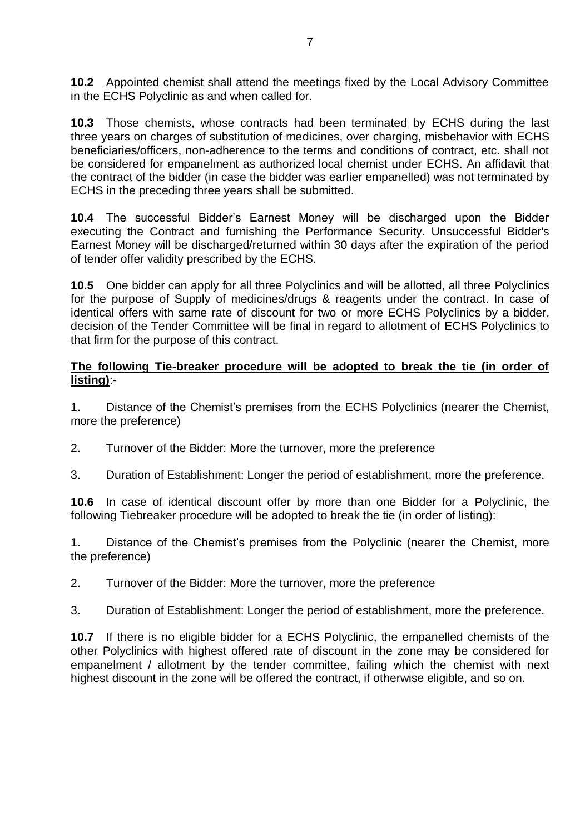**10.2** Appointed chemist shall attend the meetings fixed by the Local Advisory Committee in the ECHS Polyclinic as and when called for.

**10.3** Those chemists, whose contracts had been terminated by ECHS during the last three years on charges of substitution of medicines, over charging, misbehavior with ECHS beneficiaries/officers, non-adherence to the terms and conditions of contract, etc. shall not be considered for empanelment as authorized local chemist under ECHS. An affidavit that the contract of the bidder (in case the bidder was earlier empanelled) was not terminated by ECHS in the preceding three years shall be submitted.

**10.4** The successful Bidder's Earnest Money will be discharged upon the Bidder executing the Contract and furnishing the Performance Security. Unsuccessful Bidder's Earnest Money will be discharged/returned within 30 days after the expiration of the period of tender offer validity prescribed by the ECHS.

**10.5** One bidder can apply for all three Polyclinics and will be allotted, all three Polyclinics for the purpose of Supply of medicines/drugs & reagents under the contract. In case of identical offers with same rate of discount for two or more ECHS Polyclinics by a bidder, decision of the Tender Committee will be final in regard to allotment of ECHS Polyclinics to that firm for the purpose of this contract.

#### **The following Tie-breaker procedure will be adopted to break the tie (in order of listing)**:-

1. Distance of the Chemist's premises from the ECHS Polyclinics (nearer the Chemist, more the preference)

- 2. Turnover of the Bidder: More the turnover, more the preference
- 3. Duration of Establishment: Longer the period of establishment, more the preference.

**10.6** In case of identical discount offer by more than one Bidder for a Polyclinic, the following Tiebreaker procedure will be adopted to break the tie (in order of listing):

1. Distance of the Chemist's premises from the Polyclinic (nearer the Chemist, more the preference)

- 2. Turnover of the Bidder: More the turnover, more the preference
- 3. Duration of Establishment: Longer the period of establishment, more the preference.

**10.7** If there is no eligible bidder for a ECHS Polyclinic, the empanelled chemists of the other Polyclinics with highest offered rate of discount in the zone may be considered for empanelment / allotment by the tender committee, failing which the chemist with next highest discount in the zone will be offered the contract, if otherwise eligible, and so on.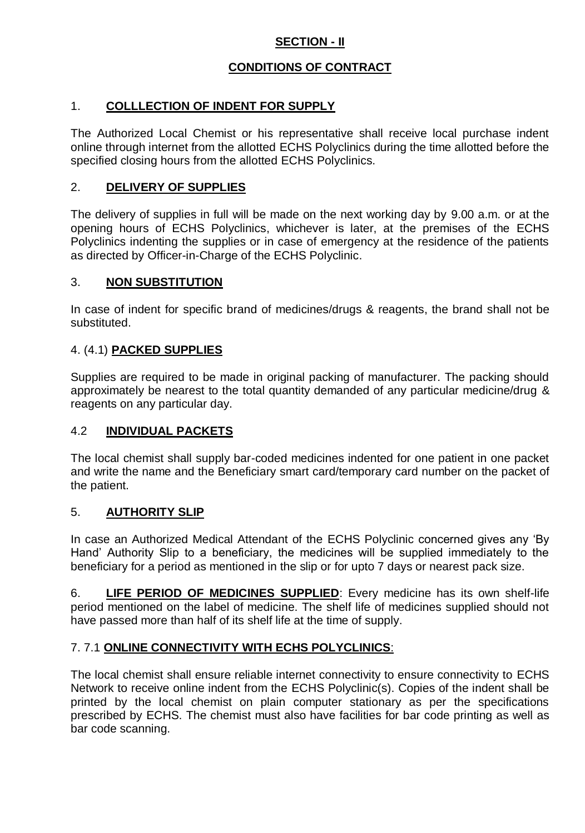# **SECTION - II**

# **CONDITIONS OF CONTRACT**

# 1. **COLLLECTION OF INDENT FOR SUPPLY**

The Authorized Local Chemist or his representative shall receive local purchase indent online through internet from the allotted ECHS Polyclinics during the time allotted before the specified closing hours from the allotted ECHS Polyclinics.

## 2. **DELIVERY OF SUPPLIES**

The delivery of supplies in full will be made on the next working day by 9.00 a.m. or at the opening hours of ECHS Polyclinics, whichever is later, at the premises of the ECHS Polyclinics indenting the supplies or in case of emergency at the residence of the patients as directed by Officer-in-Charge of the ECHS Polyclinic.

## 3. **NON SUBSTITUTION**

In case of indent for specific brand of medicines/drugs & reagents, the brand shall not be substituted.

## 4. (4.1) **PACKED SUPPLIES**

Supplies are required to be made in original packing of manufacturer. The packing should approximately be nearest to the total quantity demanded of any particular medicine/drug & reagents on any particular day.

#### 4.2 **INDIVIDUAL PACKETS**

The local chemist shall supply bar-coded medicines indented for one patient in one packet and write the name and the Beneficiary smart card/temporary card number on the packet of the patient.

#### 5. **AUTHORITY SLIP**

In case an Authorized Medical Attendant of the ECHS Polyclinic concerned gives any 'By Hand' Authority Slip to a beneficiary, the medicines will be supplied immediately to the beneficiary for a period as mentioned in the slip or for upto 7 days or nearest pack size.

6. **LIFE PERIOD OF MEDICINES SUPPLIED**: Every medicine has its own shelf-life period mentioned on the label of medicine. The shelf life of medicines supplied should not have passed more than half of its shelf life at the time of supply.

# 7. 7.1 **ONLINE CONNECTIVITY WITH ECHS POLYCLINICS**:

The local chemist shall ensure reliable internet connectivity to ensure connectivity to ECHS Network to receive online indent from the ECHS Polyclinic(s). Copies of the indent shall be printed by the local chemist on plain computer stationary as per the specifications prescribed by ECHS. The chemist must also have facilities for bar code printing as well as bar code scanning.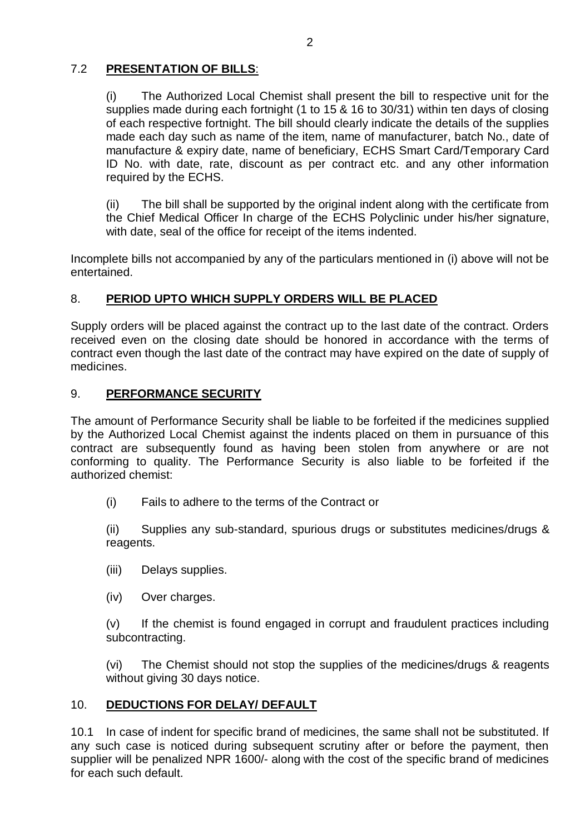# 7.2 **PRESENTATION OF BILLS**:

(i) The Authorized Local Chemist shall present the bill to respective unit for the supplies made during each fortnight (1 to 15 & 16 to 30/31) within ten days of closing of each respective fortnight. The bill should clearly indicate the details of the supplies made each day such as name of the item, name of manufacturer, batch No., date of manufacture & expiry date, name of beneficiary, ECHS Smart Card/Temporary Card ID No. with date, rate, discount as per contract etc. and any other information required by the ECHS.

(ii) The bill shall be supported by the original indent along with the certificate from the Chief Medical Officer In charge of the ECHS Polyclinic under his/her signature, with date, seal of the office for receipt of the items indented.

Incomplete bills not accompanied by any of the particulars mentioned in (i) above will not be entertained.

#### 8. **PERIOD UPTO WHICH SUPPLY ORDERS WILL BE PLACED**

Supply orders will be placed against the contract up to the last date of the contract. Orders received even on the closing date should be honored in accordance with the terms of contract even though the last date of the contract may have expired on the date of supply of medicines.

## 9. **PERFORMANCE SECURITY**

The amount of Performance Security shall be liable to be forfeited if the medicines supplied by the Authorized Local Chemist against the indents placed on them in pursuance of this contract are subsequently found as having been stolen from anywhere or are not conforming to quality. The Performance Security is also liable to be forfeited if the authorized chemist:

(i) Fails to adhere to the terms of the Contract or

(ii) Supplies any sub-standard, spurious drugs or substitutes medicines/drugs & reagents.

- (iii) Delays supplies.
- (iv) Over charges.

(v) If the chemist is found engaged in corrupt and fraudulent practices including subcontracting.

(vi) The Chemist should not stop the supplies of the medicines/drugs & reagents without giving 30 days notice.

#### 10. **DEDUCTIONS FOR DELAY/ DEFAULT**

10.1 In case of indent for specific brand of medicines, the same shall not be substituted. If any such case is noticed during subsequent scrutiny after or before the payment, then supplier will be penalized NPR 1600/- along with the cost of the specific brand of medicines for each such default.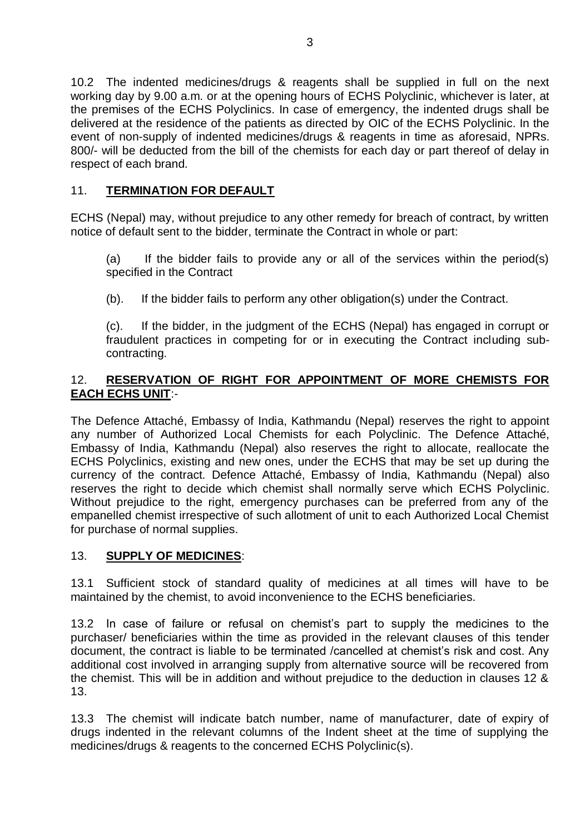10.2 The indented medicines/drugs & reagents shall be supplied in full on the next working day by 9.00 a.m. or at the opening hours of ECHS Polyclinic, whichever is later, at the premises of the ECHS Polyclinics. In case of emergency, the indented drugs shall be delivered at the residence of the patients as directed by OIC of the ECHS Polyclinic. In the event of non-supply of indented medicines/drugs & reagents in time as aforesaid, NPRs. 800/- will be deducted from the bill of the chemists for each day or part thereof of delay in respect of each brand.

# 11. **TERMINATION FOR DEFAULT**

ECHS (Nepal) may, without prejudice to any other remedy for breach of contract, by written notice of default sent to the bidder, terminate the Contract in whole or part:

(a) If the bidder fails to provide any or all of the services within the period(s) specified in the Contract

(b). If the bidder fails to perform any other obligation(s) under the Contract.

(c). If the bidder, in the judgment of the ECHS (Nepal) has engaged in corrupt or fraudulent practices in competing for or in executing the Contract including subcontracting.

# 12. **RESERVATION OF RIGHT FOR APPOINTMENT OF MORE CHEMISTS FOR EACH ECHS UNIT**:-

The Defence Attaché, Embassy of India, Kathmandu (Nepal) reserves the right to appoint any number of Authorized Local Chemists for each Polyclinic. The Defence Attaché, Embassy of India, Kathmandu (Nepal) also reserves the right to allocate, reallocate the ECHS Polyclinics, existing and new ones, under the ECHS that may be set up during the currency of the contract. Defence Attaché, Embassy of India, Kathmandu (Nepal) also reserves the right to decide which chemist shall normally serve which ECHS Polyclinic. Without prejudice to the right, emergency purchases can be preferred from any of the empanelled chemist irrespective of such allotment of unit to each Authorized Local Chemist for purchase of normal supplies.

# 13. **SUPPLY OF MEDICINES**:

13.1 Sufficient stock of standard quality of medicines at all times will have to be maintained by the chemist, to avoid inconvenience to the ECHS beneficiaries.

13.2 In case of failure or refusal on chemist's part to supply the medicines to the purchaser/ beneficiaries within the time as provided in the relevant clauses of this tender document, the contract is liable to be terminated /cancelled at chemist's risk and cost. Any additional cost involved in arranging supply from alternative source will be recovered from the chemist. This will be in addition and without prejudice to the deduction in clauses 12 & 13.

13.3 The chemist will indicate batch number, name of manufacturer, date of expiry of drugs indented in the relevant columns of the Indent sheet at the time of supplying the medicines/drugs & reagents to the concerned ECHS Polyclinic(s).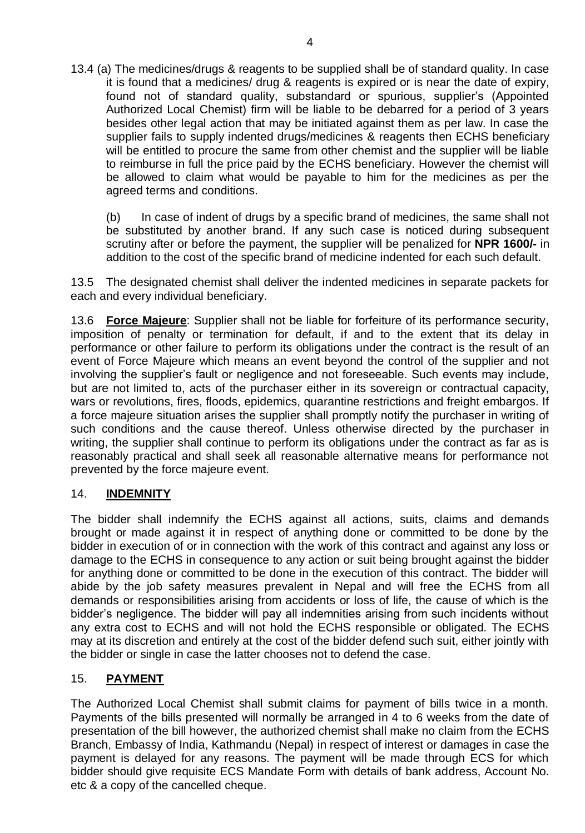13.4 (a) The medicines/drugs & reagents to be supplied shall be of standard quality. In case it is found that a medicines/ drug & reagents is expired or is near the date of expiry, found not of standard quality, substandard or spurious, supplier's (Appointed Authorized Local Chemist) firm will be liable to be debarred for a period of 3 years besides other legal action that may be initiated against them as per law. In case the supplier fails to supply indented drugs/medicines & reagents then ECHS beneficiary will be entitled to procure the same from other chemist and the supplier will be liable to reimburse in full the price paid by the ECHS beneficiary. However the chemist will be allowed to claim what would be payable to him for the medicines as per the agreed terms and conditions.

(b) In case of indent of drugs by a specific brand of medicines, the same shall not be substituted by another brand. If any such case is noticed during subsequent scrutiny after or before the payment, the supplier will be penalized for **NPR 1600/-** in addition to the cost of the specific brand of medicine indented for each such default.

13.5 The designated chemist shall deliver the indented medicines in separate packets for each and every individual beneficiary.

13.6 **Force Majeure**: Supplier shall not be liable for forfeiture of its performance security, imposition of penalty or termination for default, if and to the extent that its delay in performance or other failure to perform its obligations under the contract is the result of an event of Force Majeure which means an event beyond the control of the supplier and not involving the supplier's fault or negligence and not foreseeable. Such events may include, but are not limited to, acts of the purchaser either in its sovereign or contractual capacity, wars or revolutions, fires, floods, epidemics, quarantine restrictions and freight embargos. If a force majeure situation arises the supplier shall promptly notify the purchaser in writing of such conditions and the cause thereof. Unless otherwise directed by the purchaser in writing, the supplier shall continue to perform its obligations under the contract as far as is reasonably practical and shall seek all reasonable alternative means for performance not prevented by the force majeure event.

#### 14. **INDEMNITY**

The bidder shall indemnify the ECHS against all actions, suits, claims and demands brought or made against it in respect of anything done or committed to be done by the bidder in execution of or in connection with the work of this contract and against any loss or damage to the ECHS in consequence to any action or suit being brought against the bidder for anything done or committed to be done in the execution of this contract. The bidder will abide by the job safety measures prevalent in Nepal and will free the ECHS from all demands or responsibilities arising from accidents or loss of life, the cause of which is the bidder's negligence. The bidder will pay all indemnities arising from such incidents without any extra cost to ECHS and will not hold the ECHS responsible or obligated. The ECHS may at its discretion and entirely at the cost of the bidder defend such suit, either jointly with the bidder or single in case the latter chooses not to defend the case.

# 15. **PAYMENT**

The Authorized Local Chemist shall submit claims for payment of bills twice in a month. Payments of the bills presented will normally be arranged in 4 to 6 weeks from the date of presentation of the bill however, the authorized chemist shall make no claim from the ECHS Branch, Embassy of India, Kathmandu (Nepal) in respect of interest or damages in case the payment is delayed for any reasons. The payment will be made through ECS for which bidder should give requisite ECS Mandate Form with details of bank address, Account No. etc & a copy of the cancelled cheque.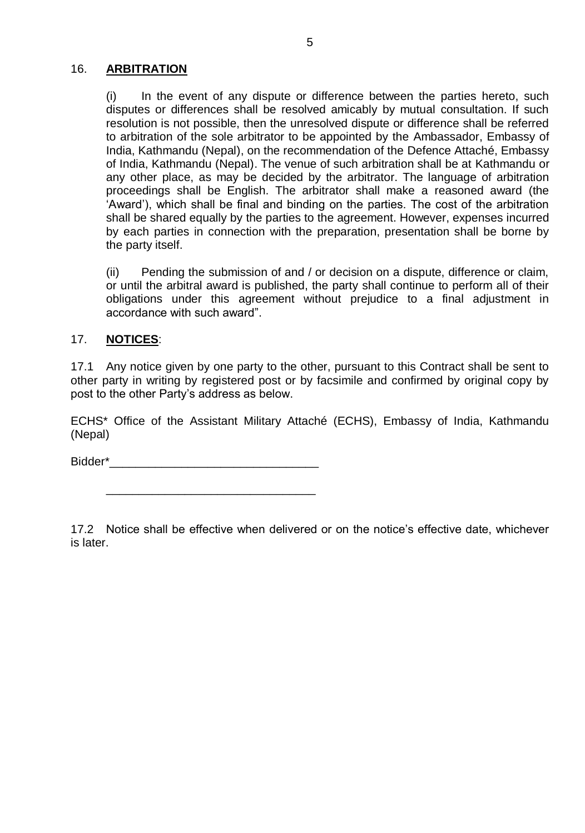#### 16. **ARBITRATION**

(i) In the event of any dispute or difference between the parties hereto, such disputes or differences shall be resolved amicably by mutual consultation. If such resolution is not possible, then the unresolved dispute or difference shall be referred to arbitration of the sole arbitrator to be appointed by the Ambassador, Embassy of India, Kathmandu (Nepal), on the recommendation of the Defence Attaché, Embassy of India, Kathmandu (Nepal). The venue of such arbitration shall be at Kathmandu or any other place, as may be decided by the arbitrator. The language of arbitration proceedings shall be English. The arbitrator shall make a reasoned award (the 'Award'), which shall be final and binding on the parties. The cost of the arbitration shall be shared equally by the parties to the agreement. However, expenses incurred by each parties in connection with the preparation, presentation shall be borne by the party itself.

(ii) Pending the submission of and / or decision on a dispute, difference or claim, or until the arbitral award is published, the party shall continue to perform all of their obligations under this agreement without prejudice to a final adjustment in accordance with such award".

#### 17. **NOTICES**:

17.1 Any notice given by one party to the other, pursuant to this Contract shall be sent to other party in writing by registered post or by facsimile and confirmed by original copy by post to the other Party's address as below.

ECHS\* Office of the Assistant Military Attaché (ECHS), Embassy of India, Kathmandu (Nepal)

Bidder\*\_\_\_\_\_\_\_\_\_\_\_\_\_\_\_\_\_\_\_\_\_\_\_\_\_\_\_\_\_\_\_\_

\_\_\_\_\_\_\_\_\_\_\_\_\_\_\_\_\_\_\_\_\_\_\_\_\_\_\_\_\_\_\_\_

17.2 Notice shall be effective when delivered or on the notice's effective date, whichever is later.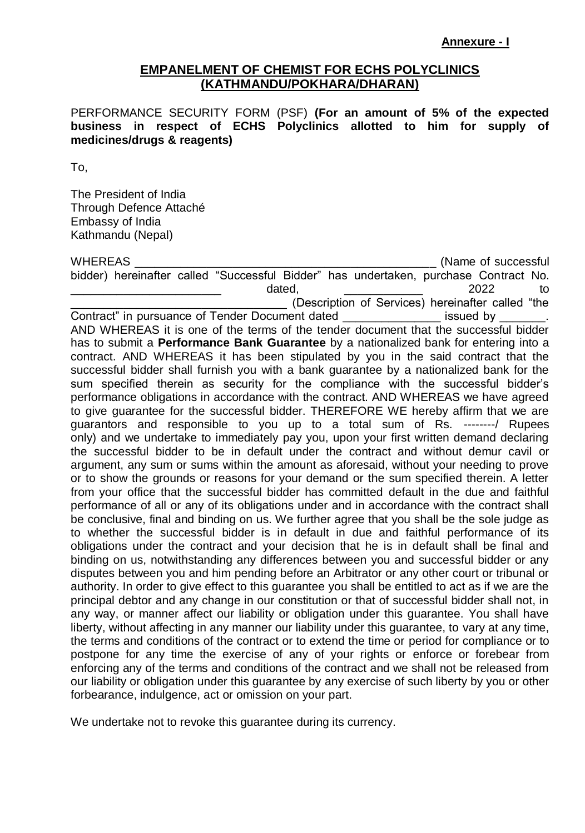#### **EMPANELMENT OF CHEMIST FOR ECHS POLYCLINICS (KATHMANDU/POKHARA/DHARAN)**

PERFORMANCE SECURITY FORM (PSF) **(For an amount of 5% of the expected business in respect of ECHS Polyclinics allotted to him for supply of medicines/drugs & reagents)**

To,

The President of India Through Defence Attaché Embassy of India Kathmandu (Nepal)

WHEREAS **EXECUTE:** WHEREAS **EXECUTE:**  $\sim$  2008) **Manual Contract CONSUMING CONSUMING CONSUMING CONSUMING CONSUMING CONSUMING CONSUMING CONSUMING CONSUMING CONSUMING CONSUMING CONSUMING CONSUMING CONSUMING CONSUMING CONSUM** bidder) hereinafter called "Successful Bidder" has undertaken, purchase Contract No. \_\_\_\_\_\_\_\_\_\_\_\_\_\_\_\_\_\_\_\_\_\_\_\_\_\_\_\_\_\_ dated, \_\_\_\_\_\_\_\_\_\_\_\_\_\_\_\_ 2022 to \_\_\_\_\_\_\_\_\_\_\_\_\_\_\_\_\_\_\_\_\_\_\_\_\_\_\_\_\_\_\_\_\_ (Description of Services) hereinafter called "the Contract" in pursuance of Tender Document dated **Example 20** issued by AND WHEREAS it is one of the terms of the tender document that the successful bidder has to submit a **Performance Bank Guarantee** by a nationalized bank for entering into a contract. AND WHEREAS it has been stipulated by you in the said contract that the successful bidder shall furnish you with a bank guarantee by a nationalized bank for the sum specified therein as security for the compliance with the successful bidder's performance obligations in accordance with the contract. AND WHEREAS we have agreed to give guarantee for the successful bidder. THEREFORE WE hereby affirm that we are guarantors and responsible to you up to a total sum of Rs. --------/ Rupees only) and we undertake to immediately pay you, upon your first written demand declaring the successful bidder to be in default under the contract and without demur cavil or argument, any sum or sums within the amount as aforesaid, without your needing to prove or to show the grounds or reasons for your demand or the sum specified therein. A letter from your office that the successful bidder has committed default in the due and faithful performance of all or any of its obligations under and in accordance with the contract shall be conclusive, final and binding on us. We further agree that you shall be the sole judge as to whether the successful bidder is in default in due and faithful performance of its obligations under the contract and your decision that he is in default shall be final and binding on us, notwithstanding any differences between you and successful bidder or any disputes between you and him pending before an Arbitrator or any other court or tribunal or authority. In order to give effect to this guarantee you shall be entitled to act as if we are the principal debtor and any change in our constitution or that of successful bidder shall not, in any way, or manner affect our liability or obligation under this guarantee. You shall have liberty, without affecting in any manner our liability under this guarantee, to vary at any time, the terms and conditions of the contract or to extend the time or period for compliance or to postpone for any time the exercise of any of your rights or enforce or forebear from enforcing any of the terms and conditions of the contract and we shall not be released from our liability or obligation under this guarantee by any exercise of such liberty by you or other forbearance, indulgence, act or omission on your part.

We undertake not to revoke this guarantee during its currency.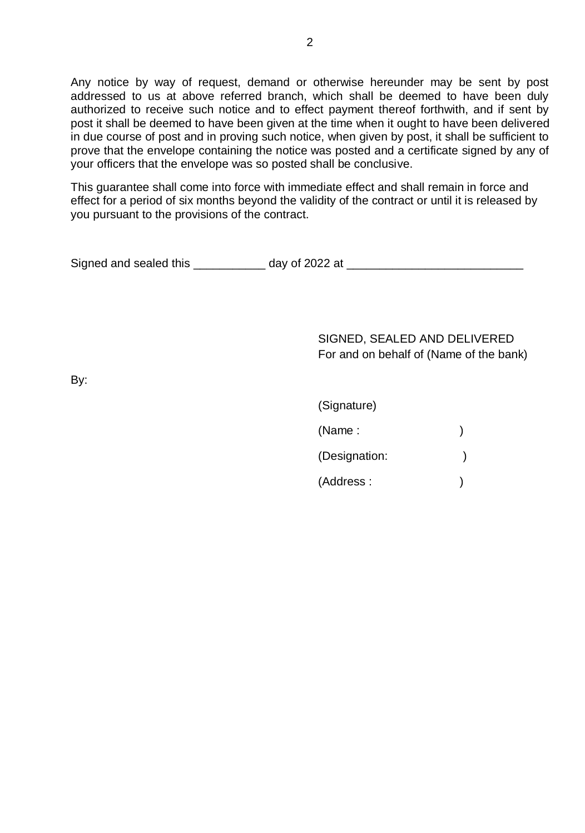Any notice by way of request, demand or otherwise hereunder may be sent by post addressed to us at above referred branch, which shall be deemed to have been duly authorized to receive such notice and to effect payment thereof forthwith, and if sent by post it shall be deemed to have been given at the time when it ought to have been delivered in due course of post and in proving such notice, when given by post, it shall be sufficient to prove that the envelope containing the notice was posted and a certificate signed by any of your officers that the envelope was so posted shall be conclusive.

This guarantee shall come into force with immediate effect and shall remain in force and effect for a period of six months beyond the validity of the contract or until it is released by you pursuant to the provisions of the contract.

| Signed and sealed this | day of 2022 at |  |
|------------------------|----------------|--|
|                        |                |  |

SIGNED, SEALED AND DELIVERED For and on behalf of (Name of the bank)

By:

| (Signature)   |  |
|---------------|--|
| (Name:        |  |
| (Designation: |  |
| (Address:     |  |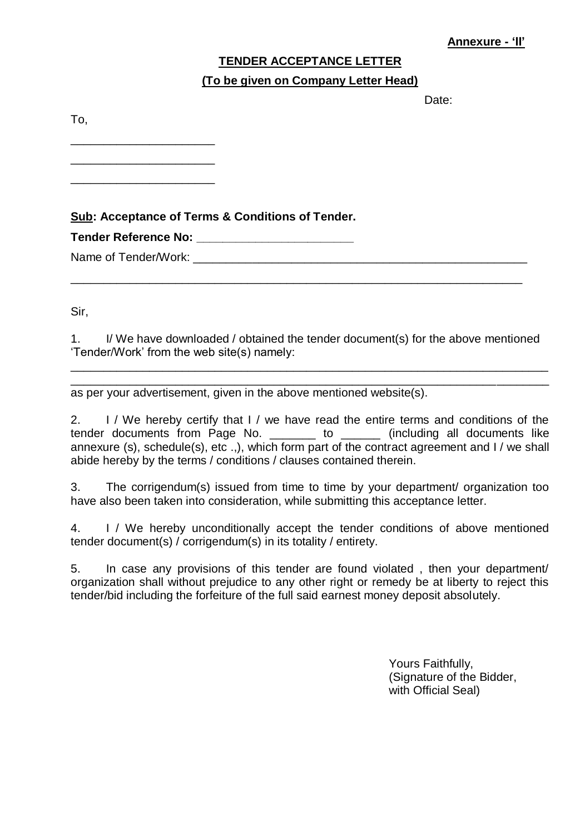# **TENDER ACCEPTANCE LETTER**

## **(To be given on Company Letter Head)**

Date:

To,

**Sub: Acceptance of Terms & Conditions of Tender.** 

**Tender Reference No: \_\_\_\_\_\_\_\_\_\_\_\_\_\_\_\_\_\_\_\_\_\_\_\_**

\_\_\_\_\_\_\_\_\_\_\_\_\_\_\_\_\_\_\_\_\_\_ \_\_\_\_\_\_\_\_\_\_\_\_\_\_\_\_\_\_\_\_\_\_ \_\_\_\_\_\_\_\_\_\_\_\_\_\_\_\_\_\_\_\_\_\_

Name of Tender/Work:  $\Box$ 

Sir,

1. I/ We have downloaded / obtained the tender document(s) for the above mentioned 'Tender/Work' from the web site(s) namely:

\_\_\_\_\_\_\_\_\_\_\_\_\_\_\_\_\_\_\_\_\_\_\_\_\_\_\_\_\_\_\_\_\_\_\_\_\_\_\_\_\_\_\_\_\_\_\_\_\_\_\_\_\_\_\_\_\_\_\_\_\_\_\_\_\_\_\_\_\_\_\_\_\_ \_\_\_\_\_\_\_\_\_\_\_\_\_\_\_\_\_\_\_\_\_\_\_\_\_\_\_\_\_\_\_\_\_\_\_\_\_\_\_\_\_\_\_\_\_\_\_\_\_\_\_\_\_\_\_\_\_\_\_\_\_\_\_\_\_\_\_\_\_\_\_\_\_

\_\_\_\_\_\_\_\_\_\_\_\_\_\_\_\_\_\_\_\_\_\_\_\_\_\_\_\_\_\_\_\_\_\_\_\_\_\_\_\_\_\_\_\_\_\_\_\_\_\_\_\_\_\_\_\_\_\_\_\_\_\_\_\_\_\_\_\_\_

as per your advertisement, given in the above mentioned website(s).

2. I / We hereby certify that I / we have read the entire terms and conditions of the tender documents from Page No. \_\_\_\_\_\_\_ to \_\_\_\_\_\_ (including all documents like annexure (s), schedule(s), etc .,), which form part of the contract agreement and I / we shall abide hereby by the terms / conditions / clauses contained therein.

3. The corrigendum(s) issued from time to time by your department/ organization too have also been taken into consideration, while submitting this acceptance letter.

4. I / We hereby unconditionally accept the tender conditions of above mentioned tender document(s) / corrigendum(s) in its totality / entirety.

5. In case any provisions of this tender are found violated , then your department/ organization shall without prejudice to any other right or remedy be at liberty to reject this tender/bid including the forfeiture of the full said earnest money deposit absolutely.

> Yours Faithfully, (Signature of the Bidder, with Official Seal)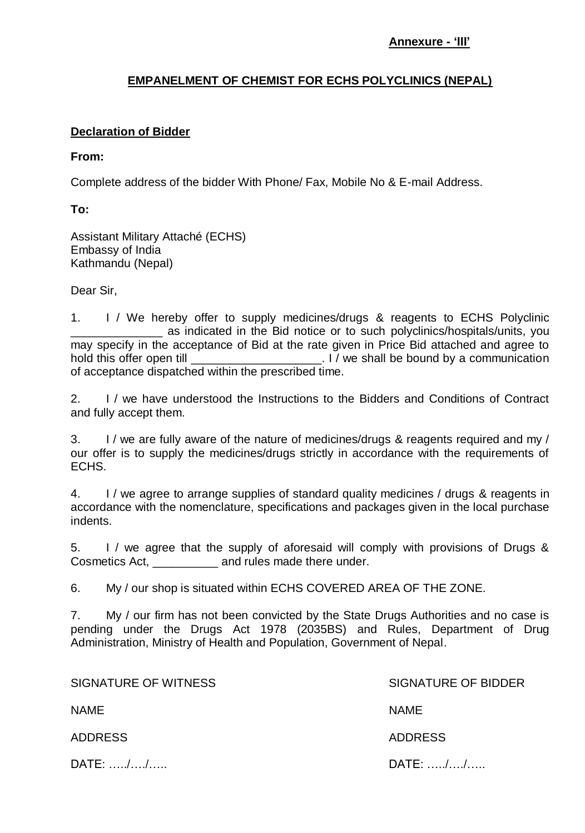# **EMPANELMENT OF CHEMIST FOR ECHS POLYCLINICS (NEPAL)**

# **Declaration of Bidder**

### **From:**

Complete address of the bidder With Phone/ Fax, Mobile No & E-mail Address.

**To:** 

Assistant Military Attaché (ECHS) Embassy of India Kathmandu (Nepal)

Dear Sir,

1. I / We hereby offer to supply medicines/drugs & reagents to ECHS Polyclinic as indicated in the Bid notice or to such polyclinics/hospitals/units, you may specify in the acceptance of Bid at the rate given in Price Bid attached and agree to hold this offer open till \_\_\_\_\_\_\_\_\_\_\_\_\_\_\_\_\_\_\_\_. I / we shall be bound by a communication of acceptance dispatched within the prescribed time.

2. I / we have understood the Instructions to the Bidders and Conditions of Contract and fully accept them.

3. I / we are fully aware of the nature of medicines/drugs & reagents required and my / our offer is to supply the medicines/drugs strictly in accordance with the requirements of ECHS.

4. I / we agree to arrange supplies of standard quality medicines / drugs & reagents in accordance with the nomenclature, specifications and packages given in the local purchase indents.

5. I / we agree that the supply of aforesaid will comply with provisions of Drugs & Cosmetics Act, \_\_\_\_\_\_\_\_\_\_ and rules made there under.

6. My / our shop is situated within ECHS COVERED AREA OF THE ZONE.

7. My / our firm has not been convicted by the State Drugs Authorities and no case is pending under the Drugs Act 1978 (2035BS) and Rules, Department of Drug Administration, Ministry of Health and Population, Government of Nepal.

| SIGNATURE OF WITNESS        | SIGNATURE OF BIDDER |  |  |
|-----------------------------|---------------------|--|--|
| <b>NAME</b>                 | <b>NAME</b>         |  |  |
| <b>ADDRESS</b>              | <b>ADDRESS</b>      |  |  |
| $DATE: \dots, \dots, \dots$ | DATE: //            |  |  |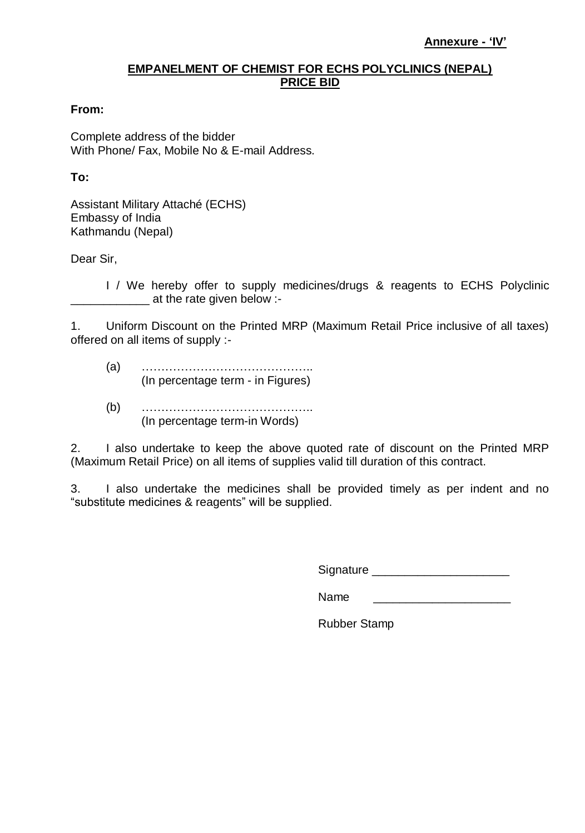#### **EMPANELMENT OF CHEMIST FOR ECHS POLYCLINICS (NEPAL) PRICE BID**

#### **From:**

Complete address of the bidder With Phone/ Fax, Mobile No & E-mail Address.

#### **To:**

Assistant Military Attaché (ECHS) Embassy of India Kathmandu (Nepal)

Dear Sir,

I / We hereby offer to supply medicines/drugs & reagents to ECHS Polyclinic at the rate given below :-

1. Uniform Discount on the Printed MRP (Maximum Retail Price inclusive of all taxes) offered on all items of supply :-

- (a) …………………………………….. (In percentage term - in Figures)
- (b) …………………………………….. (In percentage term-in Words)

2. I also undertake to keep the above quoted rate of discount on the Printed MRP (Maximum Retail Price) on all items of supplies valid till duration of this contract.

3. I also undertake the medicines shall be provided timely as per indent and no "substitute medicines & reagents" will be supplied.

Signature \_\_\_\_\_\_\_\_\_\_\_\_\_\_\_\_\_\_\_\_\_

Name

Rubber Stamp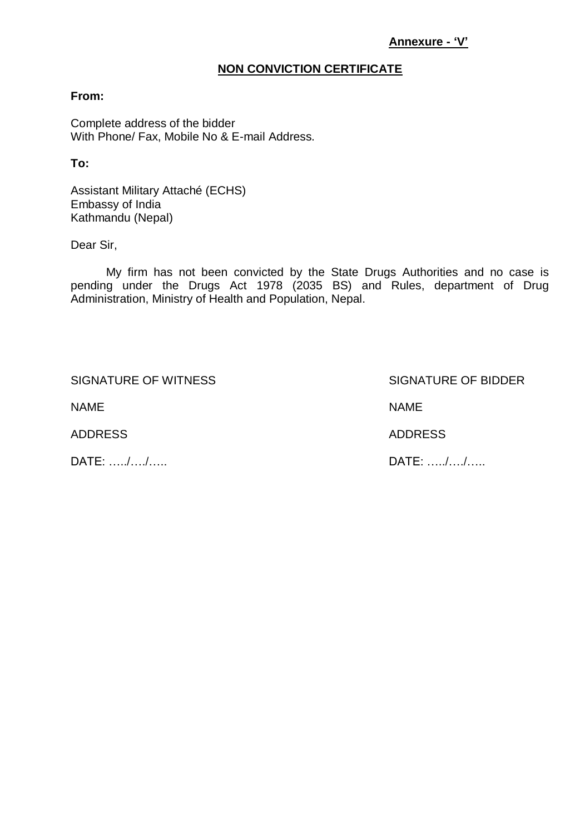#### **Annexure - 'V'**

#### **NON CONVICTION CERTIFICATE**

#### **From:**

Complete address of the bidder With Phone/ Fax, Mobile No & E-mail Address.

**To:** 

Assistant Military Attaché (ECHS) Embassy of India Kathmandu (Nepal)

Dear Sir,

My firm has not been convicted by the State Drugs Authorities and no case is pending under the Drugs Act 1978 (2035 BS) and Rules, department of Drug Administration, Ministry of Health and Population, Nepal.

SIGNATURE OF WITNESS SIGNATURE OF BIDDER

NAME NAME

DATE: …../…./….. DATE: …../…./…..

ADDRESS ADDRESS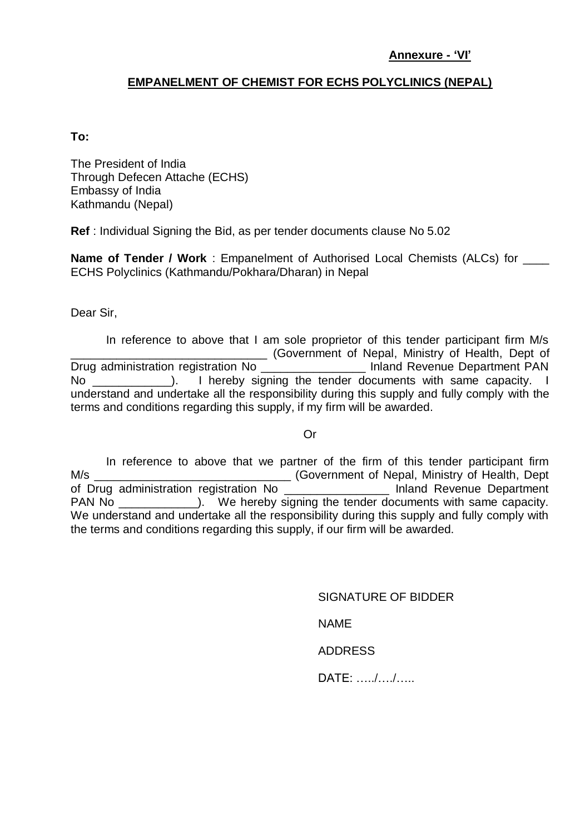#### **Annexure - 'VI'**

# **EMPANELMENT OF CHEMIST FOR ECHS POLYCLINICS (NEPAL)**

#### **To:**

The President of India Through Defecen Attache (ECHS) Embassy of India Kathmandu (Nepal)

**Ref** : Individual Signing the Bid, as per tender documents clause No 5.02

**Name of Tender / Work** : Empanelment of Authorised Local Chemists (ALCs) for \_\_\_\_ ECHS Polyclinics (Kathmandu/Pokhara/Dharan) in Nepal

Dear Sir,

In reference to above that I am sole proprietor of this tender participant firm M/s \_\_\_\_\_\_\_\_\_\_\_\_\_\_\_\_\_\_\_\_\_\_\_\_\_\_\_\_\_\_ (Government of Nepal, Ministry of Health, Dept of Drug administration registration No \_\_\_\_\_\_\_\_\_\_\_\_\_\_\_\_\_\_\_ Inland Revenue Department PAN No and the line of the replacements with same capacity. I hereby signing the tender documents with same capacity. understand and undertake all the responsibility during this supply and fully comply with the terms and conditions regarding this supply, if my firm will be awarded.

#### Or

In reference to above that we partner of the firm of this tender participant firm M/s \_\_\_\_\_\_\_\_\_\_\_\_\_\_\_\_\_\_\_\_\_\_\_\_\_\_\_\_\_\_ (Government of Nepal, Ministry of Health, Dept of Drug administration registration No \_\_\_\_\_\_\_\_\_\_\_\_\_\_\_\_ Inland Revenue Department PAN No \_\_\_\_\_\_\_\_\_\_\_\_\_\_\_). We hereby signing the tender documents with same capacity. We understand and undertake all the responsibility during this supply and fully comply with the terms and conditions regarding this supply, if our firm will be awarded.

SIGNATURE OF BIDDER

NAME

ADDRESS

DATE: …../…./…..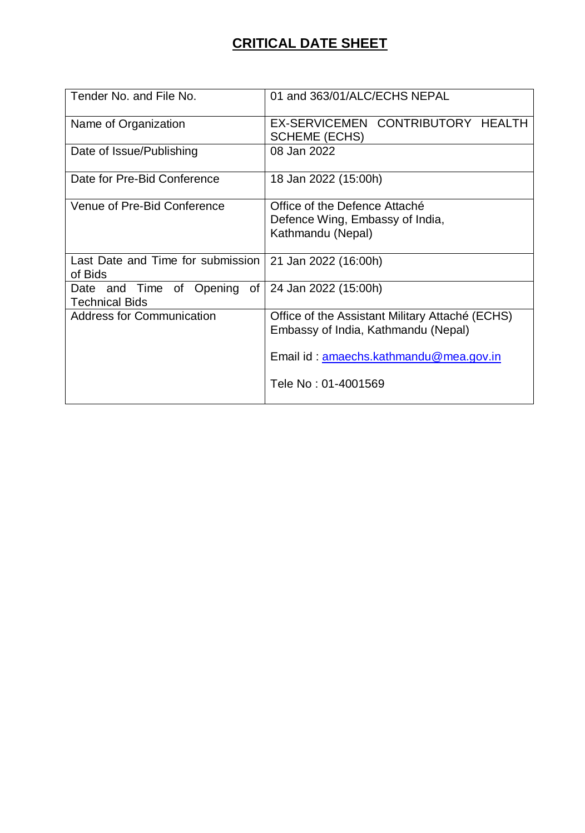# **CRITICAL DATE SHEET**

| Tender No. and File No.                              | 01 and 363/01/ALC/ECHS NEPAL                                                                                                     |
|------------------------------------------------------|----------------------------------------------------------------------------------------------------------------------------------|
| Name of Organization                                 | EX-SERVICEMEN CONTRIBUTORY HEALTH<br><b>SCHEME (ECHS)</b>                                                                        |
| Date of Issue/Publishing                             | 08 Jan 2022                                                                                                                      |
| Date for Pre-Bid Conference                          | 18 Jan 2022 (15:00h)                                                                                                             |
| Venue of Pre-Bid Conference                          | Office of the Defence Attaché<br>Defence Wing, Embassy of India,<br>Kathmandu (Nepal)                                            |
| Last Date and Time for submission<br>of Bids         | 21 Jan 2022 (16:00h)                                                                                                             |
| Date and Time of Opening of<br><b>Technical Bids</b> | 24 Jan 2022 (15:00h)                                                                                                             |
| <b>Address for Communication</b>                     | Office of the Assistant Military Attaché (ECHS)<br>Embassy of India, Kathmandu (Nepal)<br>Email id: amaechs.kathmandu@mea.gov.in |
|                                                      | Tele No: 01-4001569                                                                                                              |